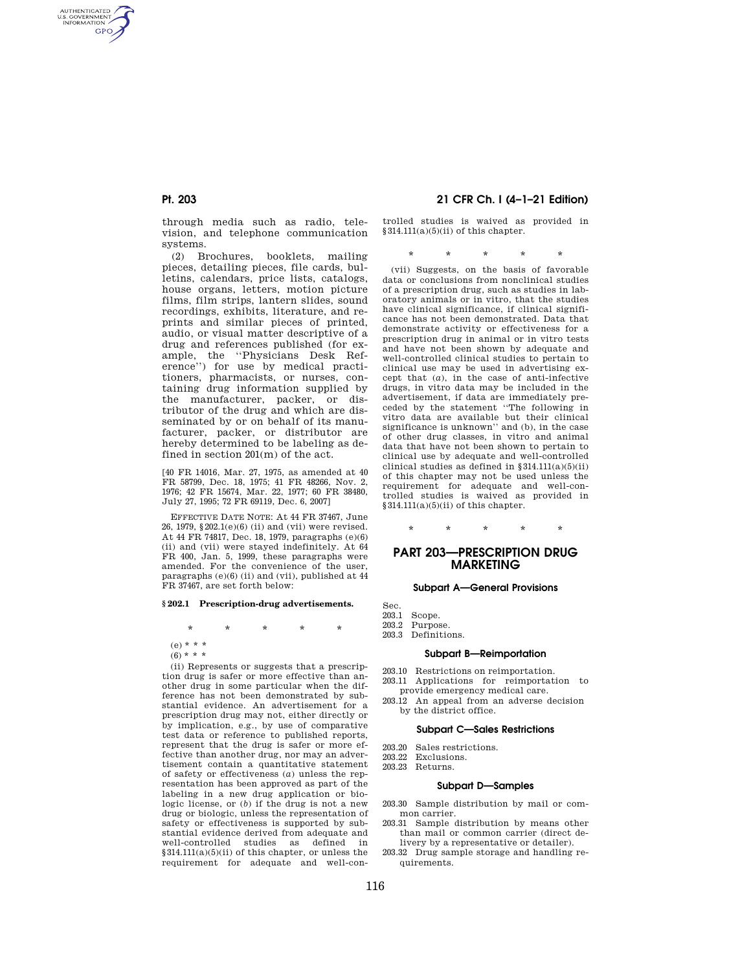AUTHENTICATED<br>U.S. GOVERNMENT<br>INFORMATION **GPO** 

> through media such as radio, television, and telephone communication systems.

> (2) Brochures, booklets, mailing pieces, detailing pieces, file cards, bulletins, calendars, price lists, catalogs, house organs, letters, motion picture films, film strips, lantern slides, sound recordings, exhibits, literature, and reprints and similar pieces of printed, audio, or visual matter descriptive of a drug and references published (for example, the ''Physicians Desk Reference'') for use by medical practitioners, pharmacists, or nurses, containing drug information supplied by the manufacturer, packer, or distributor of the drug and which are disseminated by or on behalf of its manufacturer, packer, or distributor are hereby determined to be labeling as defined in section 201(m) of the act.

[40 FR 14016, Mar. 27, 1975, as amended at 40 FR 58799, Dec. 18, 1975; 41 FR 48266, Nov. 2, 1976; 42 FR 15674, Mar. 22, 1977; 60 FR 38480, July 27, 1995; 72 FR 69119, Dec. 6, 2007]

EFFECTIVE DATE NOTE: At 44 FR 37467, June 26, 1979, §202.1(e)(6) (ii) and (vii) were revised. At 44 FR 74817, Dec. 18, 1979, paragraphs (e)(6) (ii) and (vii) were stayed indefinitely. At 64 FR 400, Jan. 5, 1999, these paragraphs were amended. For the convenience of the user, paragraphs  $(e)(6)$  (ii) and (vii), published at  $44$ FR 37467, are set forth below:

#### **§ 202.1 Prescription-drug advertisements.**

\* \* \* \* \*

 $(e) * * *$ 

 $(6)$  \* \* \*

(ii) Represents or suggests that a prescription drug is safer or more effective than another drug in some particular when the difference has not been demonstrated by substantial evidence. An advertisement for a prescription drug may not, either directly or by implication, e.g., by use of comparative test data or reference to published reports, represent that the drug is safer or more effective than another drug, nor may an advertisement contain a quantitative statement of safety or effectiveness (*a*) unless the representation has been approved as part of the labeling in a new drug application or biologic license, or (*b*) if the drug is not a new drug or biologic, unless the representation of safety or effectiveness is supported by substantial evidence derived from adequate and well-controlled studies as defined in §314.111(a)(5)(ii) of this chapter, or unless the requirement for adequate and well-con-

## **Pt. 203 21 CFR Ch. I (4–1–21 Edition)**

trolled studies is waived as provided in  $§314.111(a)(5)(ii)$  of this chapter.

\* \* \* \* \*

(vii) Suggests, on the basis of favorable data or conclusions from nonclinical studies of a prescription drug, such as studies in laboratory animals or in vitro, that the studies have clinical significance, if clinical significance has not been demonstrated. Data that demonstrate activity or effectiveness for a prescription drug in animal or in vitro tests and have not been shown by adequate and well-controlled clinical studies to pertain to clinical use may be used in advertising except that  $(a)$ , in the case of anti-infective drugs, in vitro data may be included in the advertisement, if data are immediately preceded by the statement ''The following in vitro data are available but their clinical significance is unknown'' and (b), in the case of other drug classes, in vitro and animal data that have not been shown to pertain to clinical use by adequate and well-controlled clinical studies as defined in  $§314.111(a)(5)(ii)$ of this chapter may not be used unless the requirement for adequate and well-controlled studies is waived as provided in §314.111(a)(5)(ii) of this chapter.

# \* \* \* \* \*

## **PART 203—PRESCRIPTION DRUG MARKETING**

#### **Subpart A—General Provisions**

Sec.<br>203.1

- 203.1 Scope.<br>203.2 Purpos
- Purpose.
- 203.3 Definitions.

### **Subpart B—Reimportation**

- 203.10 Restrictions on reimportation.
- 203.11 Applications for reimportation to provide emergency medical care.
- 203.12 An appeal from an adverse decision by the district office.

#### **Subpart C—Sales Restrictions**

- 203.20 Sales restrictions.
- 203.22 Exclusions.
- 203.23 Returns.

#### **Subpart D—Samples**

- 203.30 Sample distribution by mail or common carrier.
- 203.31 Sample distribution by means other than mail or common carrier (direct delivery by a representative or detailer).
- 203.32 Drug sample storage and handling requirements.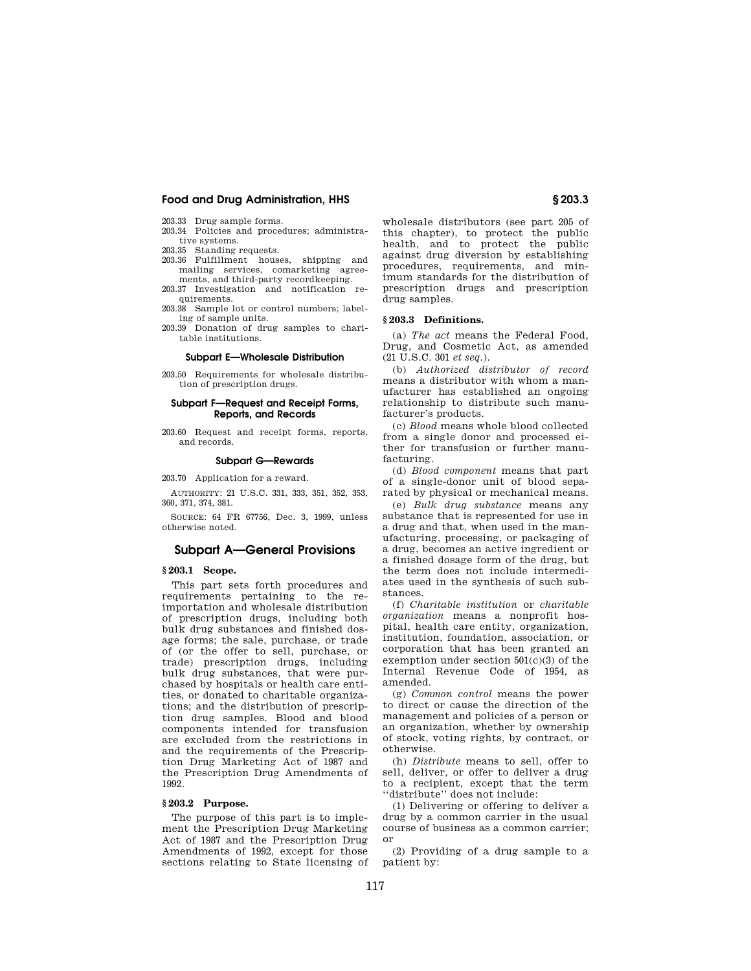#### 203.33 Drug sample forms.

- 203.34 Policies and procedures; administrative systems.
- 203.35 Standing requests.
- 203.36 Fulfillment houses, shipping and mailing services, comarketing agreements, and third-party recordkeeping.
- 203.37 Investigation and notification requirements.
- 203.38 Sample lot or control numbers; labeling of sample units.
- 203.39 Donation of drug samples to charitable institutions.

### **Subpart E—Wholesale Distribution**

203.50 Requirements for wholesale distribution of prescription drugs.

#### **Subpart F—Request and Receipt Forms, Reports, and Records**

203.60 Request and receipt forms, reports, and records.

#### **Subpart G—Rewards**

203.70 Application for a reward.

AUTHORITY: 21 U.S.C. 331, 333, 351, 352, 353, 360, 371, 374, 381.

SOURCE: 64 FR 67756, Dec. 3, 1999, unless otherwise noted.

## **Subpart A—General Provisions**

#### **§ 203.1 Scope.**

This part sets forth procedures and requirements pertaining to the reimportation and wholesale distribution of prescription drugs, including both bulk drug substances and finished dosage forms; the sale, purchase, or trade of (or the offer to sell, purchase, or trade) prescription drugs, including bulk drug substances, that were purchased by hospitals or health care entities, or donated to charitable organizations; and the distribution of prescription drug samples. Blood and blood components intended for transfusion are excluded from the restrictions in and the requirements of the Prescription Drug Marketing Act of 1987 and the Prescription Drug Amendments of 1992.

### **§ 203.2 Purpose.**

The purpose of this part is to implement the Prescription Drug Marketing Act of 1987 and the Prescription Drug Amendments of 1992, except for those sections relating to State licensing of

wholesale distributors (see part 205 of this chapter), to protect the public health, and to protect the public against drug diversion by establishing procedures, requirements, and minimum standards for the distribution of prescription drugs and prescription drug samples.

#### **§ 203.3 Definitions.**

(a) *The act* means the Federal Food, Drug, and Cosmetic Act, as amended (21 U.S.C. 301 *et seq.*).

(b) *Authorized distributor of record*  means a distributor with whom a manufacturer has established an ongoing relationship to distribute such manufacturer's products.

(c) *Blood* means whole blood collected from a single donor and processed either for transfusion or further manufacturing.

(d) *Blood component* means that part of a single-donor unit of blood separated by physical or mechanical means.

(e) *Bulk drug substance* means any substance that is represented for use in a drug and that, when used in the manufacturing, processing, or packaging of a drug, becomes an active ingredient or a finished dosage form of the drug, but the term does not include intermediates used in the synthesis of such substances.

(f) *Charitable institution* or *charitable organization* means a nonprofit hospital, health care entity, organization, institution, foundation, association, or corporation that has been granted an exemption under section 501(c)(3) of the Internal Revenue Code of 1954, as amended.

(g) *Common control* means the power to direct or cause the direction of the management and policies of a person or an organization, whether by ownership of stock, voting rights, by contract, or otherwise.

(h) *Distribute* means to sell, offer to sell, deliver, or offer to deliver a drug to a recipient, except that the term ''distribute'' does not include:

(1) Delivering or offering to deliver a drug by a common carrier in the usual course of business as a common carrier; or

(2) Providing of a drug sample to a patient by: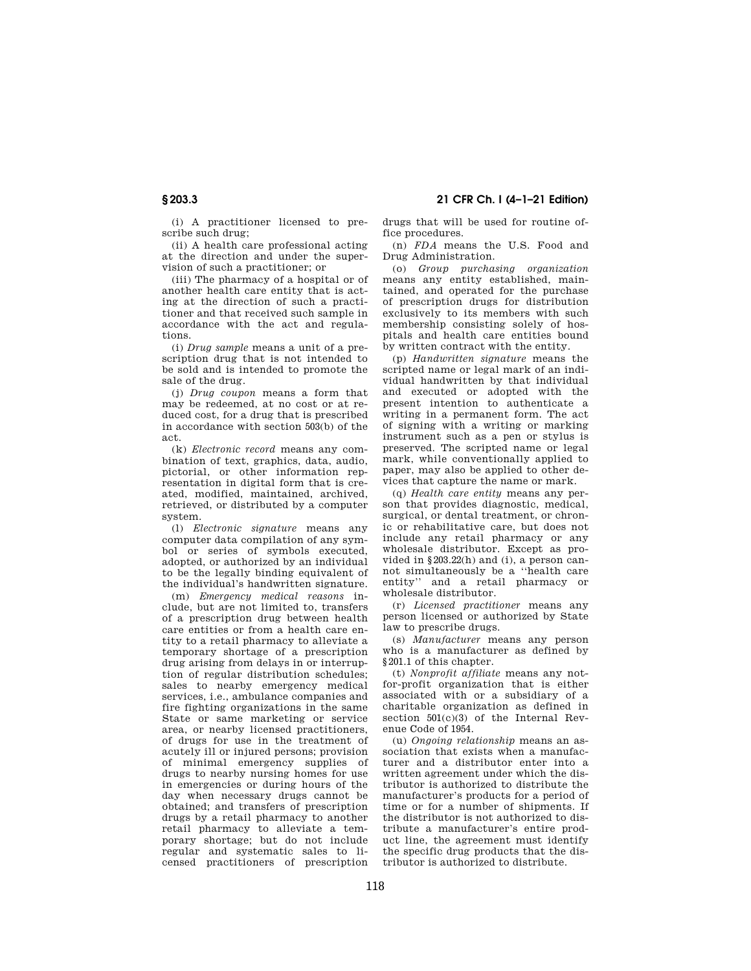(i) A practitioner licensed to prescribe such drug;

(ii) A health care professional acting at the direction and under the supervision of such a practitioner; or

(iii) The pharmacy of a hospital or of another health care entity that is acting at the direction of such a practitioner and that received such sample in accordance with the act and regulations.

(i) *Drug sample* means a unit of a prescription drug that is not intended to be sold and is intended to promote the sale of the drug.

(j) *Drug coupon* means a form that may be redeemed, at no cost or at reduced cost, for a drug that is prescribed in accordance with section 503(b) of the act.

(k) *Electronic record* means any combination of text, graphics, data, audio, pictorial, or other information representation in digital form that is created, modified, maintained, archived, retrieved, or distributed by a computer system.

(l) *Electronic signature* means any computer data compilation of any symbol or series of symbols executed, adopted, or authorized by an individual to be the legally binding equivalent of the individual's handwritten signature.

(m) *Emergency medical reasons* include, but are not limited to, transfers of a prescription drug between health care entities or from a health care entity to a retail pharmacy to alleviate a temporary shortage of a prescription drug arising from delays in or interruption of regular distribution schedules; sales to nearby emergency medical services, i.e., ambulance companies and fire fighting organizations in the same State or same marketing or service area, or nearby licensed practitioners, of drugs for use in the treatment of acutely ill or injured persons; provision of minimal emergency supplies of drugs to nearby nursing homes for use in emergencies or during hours of the day when necessary drugs cannot be obtained; and transfers of prescription drugs by a retail pharmacy to another retail pharmacy to alleviate a temporary shortage; but do not include regular and systematic sales to licensed practitioners of prescription

drugs that will be used for routine office procedures.

(n) *FDA* means the U.S. Food and Drug Administration.

(o) *Group purchasing organization*  means any entity established, maintained, and operated for the purchase of prescription drugs for distribution exclusively to its members with such membership consisting solely of hospitals and health care entities bound by written contract with the entity.

(p) *Handwritten signature* means the scripted name or legal mark of an individual handwritten by that individual and executed or adopted with the present intention to authenticate a writing in a permanent form. The act of signing with a writing or marking instrument such as a pen or stylus is preserved. The scripted name or legal mark, while conventionally applied to paper, may also be applied to other devices that capture the name or mark.

(q) *Health care entity* means any person that provides diagnostic, medical, surgical, or dental treatment, or chronic or rehabilitative care, but does not include any retail pharmacy or any wholesale distributor. Except as provided in §203.22(h) and (i), a person cannot simultaneously be a ''health care entity'' and a retail pharmacy or wholesale distributor.

(r) *Licensed practitioner* means any person licensed or authorized by State law to prescribe drugs.

(s) *Manufacturer* means any person who is a manufacturer as defined by §201.1 of this chapter.

(t) *Nonprofit affiliate* means any notfor-profit organization that is either associated with or a subsidiary of a charitable organization as defined in section  $501(c)(3)$  of the Internal Revenue Code of 1954.

(u) *Ongoing relationship* means an association that exists when a manufacturer and a distributor enter into a written agreement under which the distributor is authorized to distribute the manufacturer's products for a period of time or for a number of shipments. If the distributor is not authorized to distribute a manufacturer's entire product line, the agreement must identify the specific drug products that the distributor is authorized to distribute.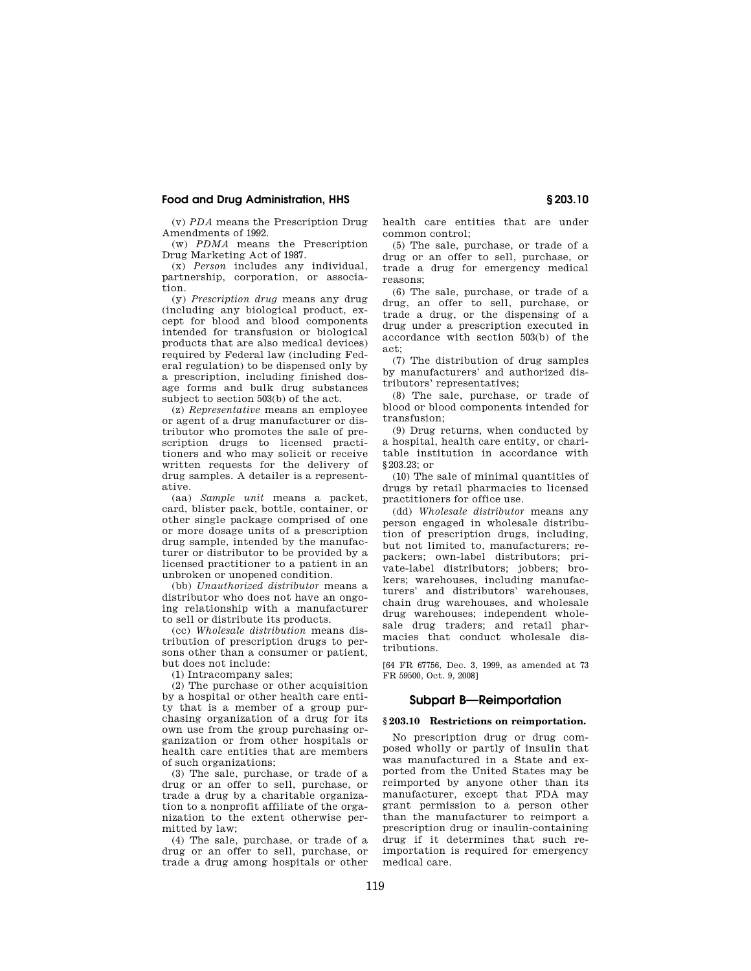(v) *PDA* means the Prescription Drug Amendments of 1992.

(w) *PDMA* means the Prescription Drug Marketing Act of 1987.

(x) *Person* includes any individual, partnership, corporation, or association.

(y) *Prescription drug* means any drug (including any biological product, except for blood and blood components intended for transfusion or biological products that are also medical devices) required by Federal law (including Federal regulation) to be dispensed only by a prescription, including finished dosage forms and bulk drug substances subject to section 503(b) of the act.

(z) *Representative* means an employee or agent of a drug manufacturer or distributor who promotes the sale of prescription drugs to licensed practitioners and who may solicit or receive written requests for the delivery of drug samples. A detailer is a representative.

(aa) *Sample unit* means a packet, card, blister pack, bottle, container, or other single package comprised of one or more dosage units of a prescription drug sample, intended by the manufacturer or distributor to be provided by a licensed practitioner to a patient in an unbroken or unopened condition.

(bb) *Unauthorized distributor* means a distributor who does not have an ongoing relationship with a manufacturer to sell or distribute its products.

(cc) *Wholesale distribution* means distribution of prescription drugs to persons other than a consumer or patient, but does not include:

(1) Intracompany sales;

(2) The purchase or other acquisition by a hospital or other health care entity that is a member of a group purchasing organization of a drug for its own use from the group purchasing organization or from other hospitals or health care entities that are members of such organizations;

(3) The sale, purchase, or trade of a drug or an offer to sell, purchase, or trade a drug by a charitable organization to a nonprofit affiliate of the organization to the extent otherwise permitted by law;

(4) The sale, purchase, or trade of a drug or an offer to sell, purchase, or trade a drug among hospitals or other health care entities that are under common control;

(5) The sale, purchase, or trade of a drug or an offer to sell, purchase, or trade a drug for emergency medical reasons;

(6) The sale, purchase, or trade of a drug, an offer to sell, purchase, or trade a drug, or the dispensing of a drug under a prescription executed in accordance with section 503(b) of the act;

(7) The distribution of drug samples by manufacturers' and authorized distributors' representatives;

(8) The sale, purchase, or trade of blood or blood components intended for transfusion;

(9) Drug returns, when conducted by a hospital, health care entity, or charitable institution in accordance with §203.23; or

(10) The sale of minimal quantities of drugs by retail pharmacies to licensed practitioners for office use.

(dd) *Wholesale distributor* means any person engaged in wholesale distribution of prescription drugs, including, but not limited to, manufacturers; repackers; own-label distributors; private-label distributors; jobbers; brokers; warehouses, including manufacturers' and distributors' warehouses, chain drug warehouses, and wholesale drug warehouses; independent wholesale drug traders; and retail pharmacies that conduct wholesale distributions.

[64 FR 67756, Dec. 3, 1999, as amended at 73 FR 59500, Oct. 9, 2008]

## **Subpart B—Reimportation**

#### **§ 203.10 Restrictions on reimportation.**

No prescription drug or drug composed wholly or partly of insulin that was manufactured in a State and exported from the United States may be reimported by anyone other than its manufacturer, except that FDA may grant permission to a person other than the manufacturer to reimport a prescription drug or insulin-containing drug if it determines that such reimportation is required for emergency medical care.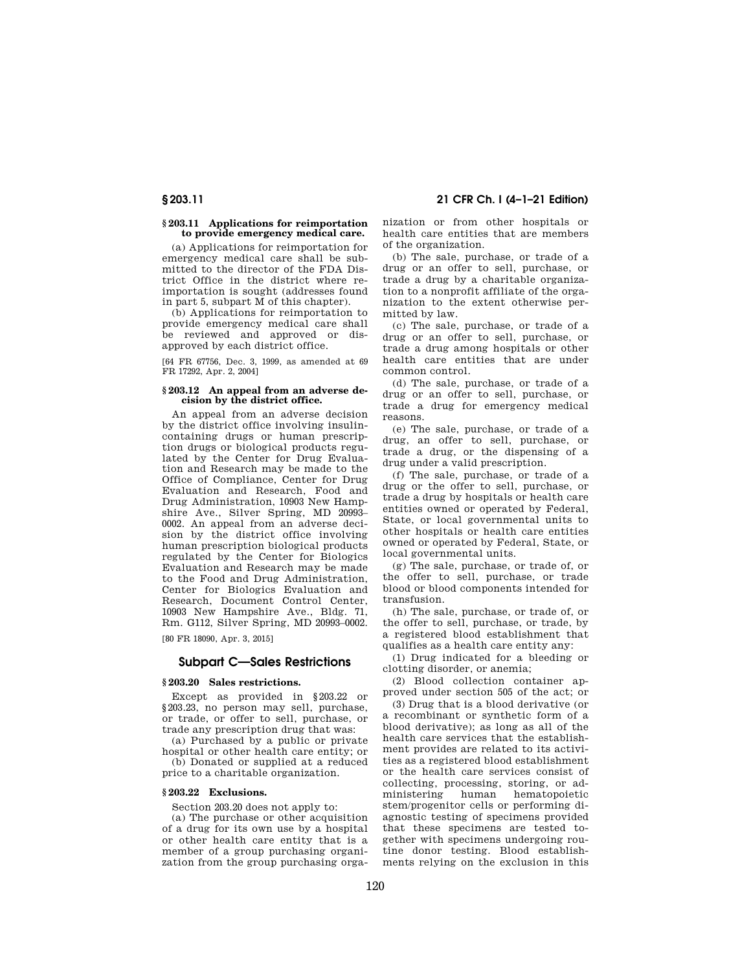## **§ 203.11 21 CFR Ch. I (4–1–21 Edition)**

#### **§ 203.11 Applications for reimportation to provide emergency medical care.**

(a) Applications for reimportation for emergency medical care shall be submitted to the director of the FDA District Office in the district where reimportation is sought (addresses found in part 5, subpart M of this chapter).

(b) Applications for reimportation to provide emergency medical care shall be reviewed and approved or disapproved by each district office.

[64 FR 67756, Dec. 3, 1999, as amended at 69 FR 17292, Apr. 2, 2004]

#### **§ 203.12 An appeal from an adverse decision by the district office.**

An appeal from an adverse decision by the district office involving insulincontaining drugs or human prescription drugs or biological products regulated by the Center for Drug Evaluation and Research may be made to the Office of Compliance, Center for Drug Evaluation and Research, Food and Drug Administration, 10903 New Hampshire Ave., Silver Spring, MD 20993– 0002. An appeal from an adverse decision by the district office involving human prescription biological products regulated by the Center for Biologics Evaluation and Research may be made to the Food and Drug Administration, Center for Biologics Evaluation and Research, Document Control Center, 10903 New Hampshire Ave., Bldg. 71, Rm. G112, Silver Spring, MD 20993–0002.

[80 FR 18090, Apr. 3, 2015]

## **Subpart C—Sales Restrictions**

#### **§ 203.20 Sales restrictions.**

Except as provided in §203.22 or §203.23, no person may sell, purchase, or trade, or offer to sell, purchase, or trade any prescription drug that was:

(a) Purchased by a public or private hospital or other health care entity; or

(b) Donated or supplied at a reduced price to a charitable organization.

## **§ 203.22 Exclusions.**

Section 203.20 does not apply to:

(a) The purchase or other acquisition of a drug for its own use by a hospital or other health care entity that is a member of a group purchasing organization from the group purchasing organization or from other hospitals or health care entities that are members of the organization.

(b) The sale, purchase, or trade of a drug or an offer to sell, purchase, or trade a drug by a charitable organization to a nonprofit affiliate of the organization to the extent otherwise permitted by law.

(c) The sale, purchase, or trade of a drug or an offer to sell, purchase, or trade a drug among hospitals or other health care entities that are under common control.

(d) The sale, purchase, or trade of a drug or an offer to sell, purchase, or trade a drug for emergency medical reasons.

(e) The sale, purchase, or trade of a drug, an offer to sell, purchase, or trade a drug, or the dispensing of a drug under a valid prescription.

(f) The sale, purchase, or trade of a drug or the offer to sell, purchase, or trade a drug by hospitals or health care entities owned or operated by Federal, State, or local governmental units to other hospitals or health care entities owned or operated by Federal, State, or local governmental units.

(g) The sale, purchase, or trade of, or the offer to sell, purchase, or trade blood or blood components intended for transfusion.

(h) The sale, purchase, or trade of, or the offer to sell, purchase, or trade, by a registered blood establishment that qualifies as a health care entity any:

(1) Drug indicated for a bleeding or clotting disorder, or anemia;

(2) Blood collection container approved under section 505 of the act; or

(3) Drug that is a blood derivative (or a recombinant or synthetic form of a blood derivative); as long as all of the health care services that the establishment provides are related to its activities as a registered blood establishment or the health care services consist of collecting, processing, storing, or administering human hematopoietic stem/progenitor cells or performing diagnostic testing of specimens provided that these specimens are tested together with specimens undergoing routine donor testing. Blood establishments relying on the exclusion in this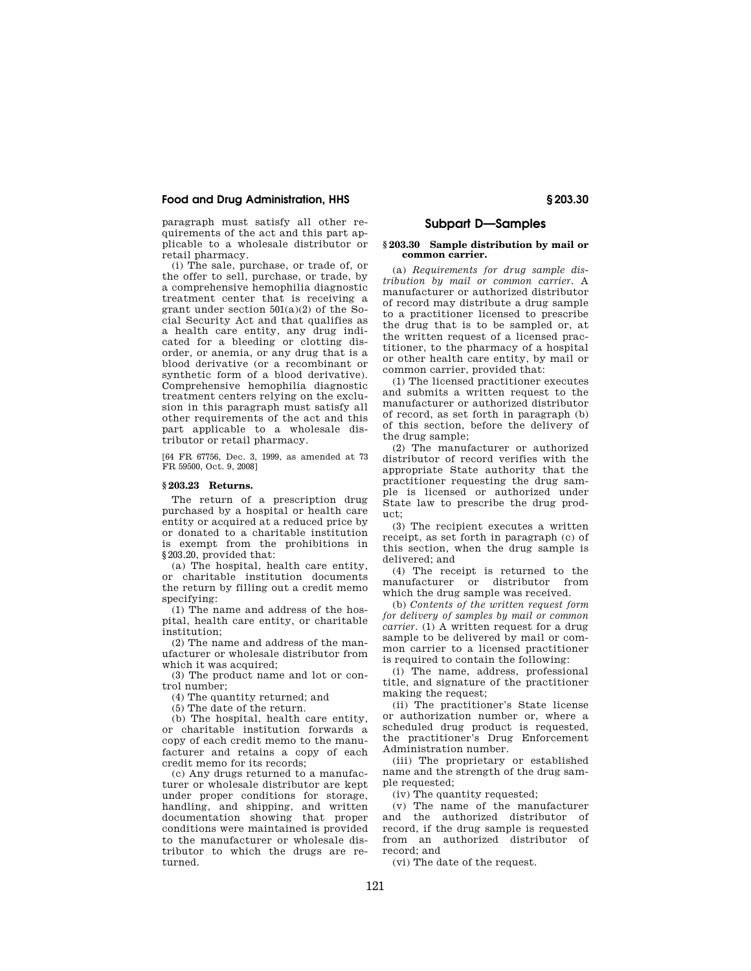paragraph must satisfy all other requirements of the act and this part applicable to a wholesale distributor or retail pharmacy.

(i) The sale, purchase, or trade of, or the offer to sell, purchase, or trade, by a comprehensive hemophilia diagnostic treatment center that is receiving a grant under section 501(a)(2) of the Social Security Act and that qualifies as a health care entity, any drug indicated for a bleeding or clotting disorder, or anemia, or any drug that is a blood derivative (or a recombinant or synthetic form of a blood derivative). Comprehensive hemophilia diagnostic treatment centers relying on the exclusion in this paragraph must satisfy all other requirements of the act and this part applicable to a wholesale distributor or retail pharmacy.

[64 FR 67756, Dec. 3, 1999, as amended at 73 FR 59500, Oct. 9, 2008]

#### **§ 203.23 Returns.**

The return of a prescription drug purchased by a hospital or health care entity or acquired at a reduced price by or donated to a charitable institution is exempt from the prohibitions in §203.20, provided that:

(a) The hospital, health care entity, or charitable institution documents the return by filling out a credit memo specifying:

(1) The name and address of the hospital, health care entity, or charitable institution;

(2) The name and address of the manufacturer or wholesale distributor from which it was acquired;

(3) The product name and lot or control number;

(4) The quantity returned; and

(5) The date of the return.

(b) The hospital, health care entity, or charitable institution forwards a copy of each credit memo to the manufacturer and retains a copy of each credit memo for its records;

(c) Any drugs returned to a manufacturer or wholesale distributor are kept under proper conditions for storage, handling, and shipping, and written documentation showing that proper conditions were maintained is provided to the manufacturer or wholesale distributor to which the drugs are returned.

## **Subpart D—Samples**

#### **§ 203.30 Sample distribution by mail or common carrier.**

(a) *Requirements for drug sample distribution by mail or common carrier.* A manufacturer or authorized distributor of record may distribute a drug sample to a practitioner licensed to prescribe the drug that is to be sampled or, at the written request of a licensed practitioner, to the pharmacy of a hospital or other health care entity, by mail or common carrier, provided that:

(1) The licensed practitioner executes and submits a written request to the manufacturer or authorized distributor of record, as set forth in paragraph (b) of this section, before the delivery of the drug sample;

(2) The manufacturer or authorized distributor of record verifies with the appropriate State authority that the practitioner requesting the drug sample is licensed or authorized under State law to prescribe the drug product;

(3) The recipient executes a written receipt, as set forth in paragraph (c) of this section, when the drug sample is delivered; and

(4) The receipt is returned to the manufacturer or distributor from which the drug sample was received.

(b) *Contents of the written request form for delivery of samples by mail or common carrier.* (1) A written request for a drug sample to be delivered by mail or common carrier to a licensed practitioner is required to contain the following:

(i) The name, address, professional title, and signature of the practitioner making the request;

(ii) The practitioner's State license or authorization number or, where a scheduled drug product is requested, the practitioner's Drug Enforcement Administration number.

(iii) The proprietary or established name and the strength of the drug sample requested;

(iv) The quantity requested;

(v) The name of the manufacturer and the authorized distributor of record, if the drug sample is requested from an authorized distributor of record; and

(vi) The date of the request.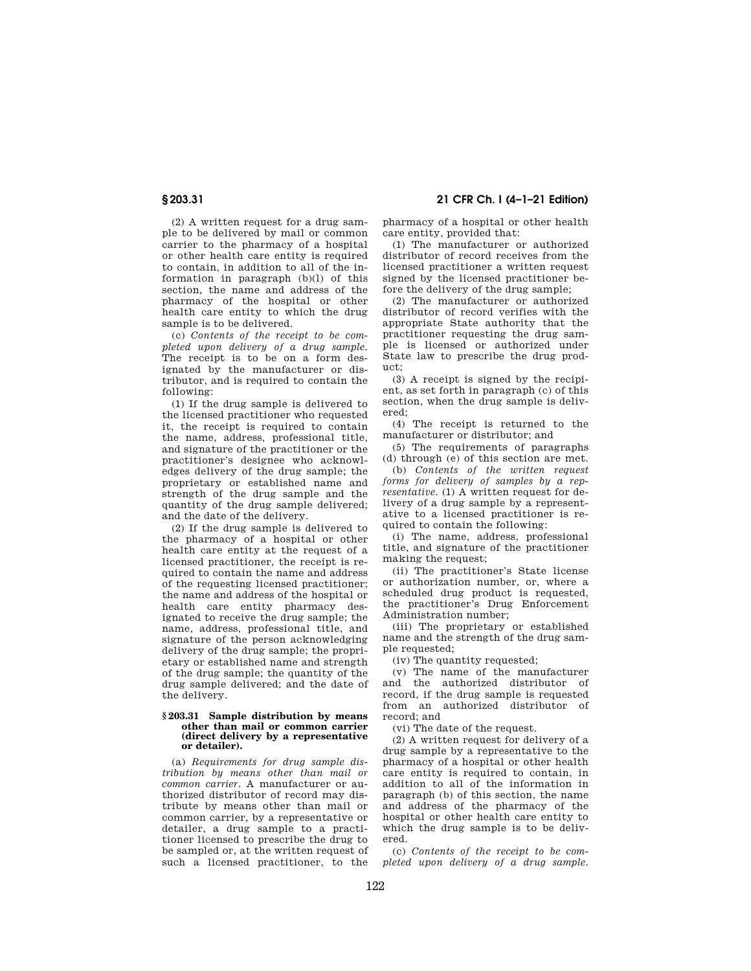**§ 203.31 21 CFR Ch. I (4–1–21 Edition)** 

(2) A written request for a drug sample to be delivered by mail or common carrier to the pharmacy of a hospital or other health care entity is required to contain, in addition to all of the information in paragraph (b)(l) of this section, the name and address of the pharmacy of the hospital or other health care entity to which the drug sample is to be delivered.

(c) *Contents of the receipt to be completed upon delivery of a drug sample.*  The receipt is to be on a form designated by the manufacturer or distributor, and is required to contain the following:

(1) If the drug sample is delivered to the licensed practitioner who requested it, the receipt is required to contain the name, address, professional title, and signature of the practitioner or the practitioner's designee who acknowledges delivery of the drug sample; the proprietary or established name and strength of the drug sample and the quantity of the drug sample delivered; and the date of the delivery.

(2) If the drug sample is delivered to the pharmacy of a hospital or other health care entity at the request of a licensed practitioner, the receipt is required to contain the name and address of the requesting licensed practitioner; the name and address of the hospital or health care entity pharmacy designated to receive the drug sample; the name, address, professional title, and signature of the person acknowledging delivery of the drug sample; the proprietary or established name and strength of the drug sample; the quantity of the drug sample delivered; and the date of the delivery.

#### **§ 203.31 Sample distribution by means other than mail or common carrier (direct delivery by a representative or detailer).**

(a) *Requirements for drug sample distribution by means other than mail or common carrier.* A manufacturer or authorized distributor of record may distribute by means other than mail or common carrier, by a representative or detailer, a drug sample to a practitioner licensed to prescribe the drug to be sampled or, at the written request of such a licensed practitioner, to the

pharmacy of a hospital or other health care entity, provided that:

(1) The manufacturer or authorized distributor of record receives from the licensed practitioner a written request signed by the licensed practitioner before the delivery of the drug sample;

(2) The manufacturer or authorized distributor of record verifies with the appropriate State authority that the practitioner requesting the drug sample is licensed or authorized under State law to prescribe the drug product;

(3) A receipt is signed by the recipient, as set forth in paragraph (c) of this section, when the drug sample is delivered;

(4) The receipt is returned to the manufacturer or distributor; and

(5) The requirements of paragraphs (d) through (e) of this section are met.

(b) *Contents of the written request forms for delivery of samples by a representative.* (1) A written request for delivery of a drug sample by a representative to a licensed practitioner is required to contain the following:

(i) The name, address, professional title, and signature of the practitioner making the request;

(ii) The practitioner's State license or authorization number, or, where a scheduled drug product is requested, the practitioner's Drug Enforcement Administration number;

(iii) The proprietary or established name and the strength of the drug sample requested;

(iv) The quantity requested;

(v) The name of the manufacturer and the authorized distributor of record, if the drug sample is requested from an authorized distributor of record; and

(vi) The date of the request.

(2) A written request for delivery of a drug sample by a representative to the pharmacy of a hospital or other health care entity is required to contain, in addition to all of the information in paragraph (b) of this section, the name and address of the pharmacy of the hospital or other health care entity to which the drug sample is to be delivered.

(c) *Contents of the receipt to be completed upon delivery of a drug sample.*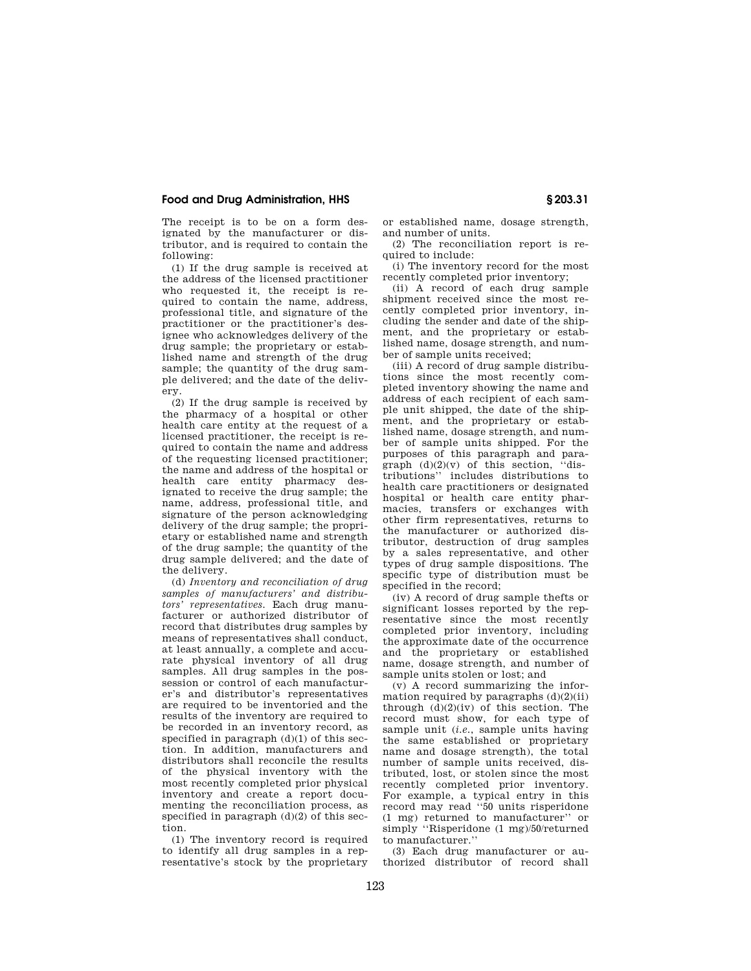The receipt is to be on a form designated by the manufacturer or distributor, and is required to contain the following:

(1) If the drug sample is received at the address of the licensed practitioner who requested it, the receipt is required to contain the name, address, professional title, and signature of the practitioner or the practitioner's designee who acknowledges delivery of the drug sample; the proprietary or established name and strength of the drug sample; the quantity of the drug sample delivered; and the date of the delivery.

(2) If the drug sample is received by the pharmacy of a hospital or other health care entity at the request of a licensed practitioner, the receipt is required to contain the name and address of the requesting licensed practitioner; the name and address of the hospital or health care entity pharmacy designated to receive the drug sample; the name, address, professional title, and signature of the person acknowledging delivery of the drug sample; the proprietary or established name and strength of the drug sample; the quantity of the drug sample delivered; and the date of the delivery.

(d) *Inventory and reconciliation of drug samples of manufacturers' and distributors' representatives.* Each drug manufacturer or authorized distributor of record that distributes drug samples by means of representatives shall conduct, at least annually, a complete and accurate physical inventory of all drug samples. All drug samples in the possession or control of each manufacturer's and distributor's representatives are required to be inventoried and the results of the inventory are required to be recorded in an inventory record, as specified in paragraph (d)(1) of this section. In addition, manufacturers and distributors shall reconcile the results of the physical inventory with the most recently completed prior physical inventory and create a report documenting the reconciliation process, as specified in paragraph (d)(2) of this section.

(1) The inventory record is required to identify all drug samples in a representative's stock by the proprietary or established name, dosage strength, and number of units.

(2) The reconciliation report is required to include:

(i) The inventory record for the most recently completed prior inventory;

(ii) A record of each drug sample shipment received since the most recently completed prior inventory, including the sender and date of the shipment, and the proprietary or established name, dosage strength, and number of sample units received;

(iii) A record of drug sample distributions since the most recently completed inventory showing the name and address of each recipient of each sample unit shipped, the date of the shipment, and the proprietary or established name, dosage strength, and number of sample units shipped. For the purposes of this paragraph and paragraph  $(d)(2)(v)$  of this section, "distributions'' includes distributions to health care practitioners or designated hospital or health care entity pharmacies, transfers or exchanges with other firm representatives, returns to the manufacturer or authorized distributor, destruction of drug samples by a sales representative, and other types of drug sample dispositions. The specific type of distribution must be specified in the record;

(iv) A record of drug sample thefts or significant losses reported by the representative since the most recently completed prior inventory, including the approximate date of the occurrence and the proprietary or established name, dosage strength, and number of sample units stolen or lost; and

(v) A record summarizing the information required by paragraphs  $(d)(2)(ii)$ through (d)(2)(iv) of this section. The record must show, for each type of sample unit (*i.e.*, sample units having the same established or proprietary name and dosage strength), the total number of sample units received, distributed, lost, or stolen since the most recently completed prior inventory. For example, a typical entry in this record may read ''50 units risperidone (1 mg) returned to manufacturer'' or simply ''Risperidone (1 mg)/50/returned to manufacturer.''

(3) Each drug manufacturer or authorized distributor of record shall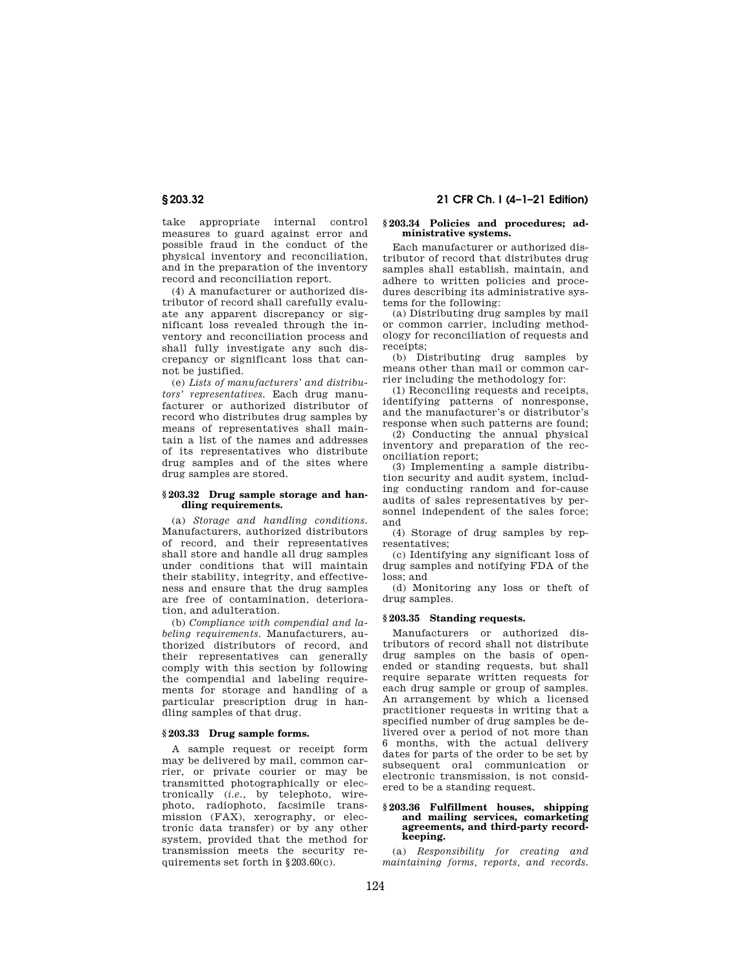take appropriate internal control measures to guard against error and possible fraud in the conduct of the physical inventory and reconciliation, and in the preparation of the inventory record and reconciliation report.

(4) A manufacturer or authorized distributor of record shall carefully evaluate any apparent discrepancy or significant loss revealed through the inventory and reconciliation process and shall fully investigate any such discrepancy or significant loss that cannot be justified.

(e) *Lists of manufacturers' and distributors' representatives.* Each drug manufacturer or authorized distributor of record who distributes drug samples by means of representatives shall maintain a list of the names and addresses of its representatives who distribute drug samples and of the sites where drug samples are stored.

### **§ 203.32 Drug sample storage and handling requirements.**

(a) *Storage and handling conditions.*  Manufacturers, authorized distributors of record, and their representatives shall store and handle all drug samples under conditions that will maintain their stability, integrity, and effectiveness and ensure that the drug samples are free of contamination, deterioration, and adulteration.

(b) *Compliance with compendial and labeling requirements.* Manufacturers, authorized distributors of record, and their representatives can generally comply with this section by following the compendial and labeling requirements for storage and handling of a particular prescription drug in handling samples of that drug.

## **§ 203.33 Drug sample forms.**

A sample request or receipt form may be delivered by mail, common carrier, or private courier or may be transmitted photographically or electronically (*i.e.*, by telephoto, wirephoto, radiophoto, facsimile transmission (FAX), xerography, or electronic data transfer) or by any other system, provided that the method for transmission meets the security requirements set forth in §203.60(c).

## **§ 203.32 21 CFR Ch. I (4–1–21 Edition)**

#### **§ 203.34 Policies and procedures; administrative systems.**

Each manufacturer or authorized distributor of record that distributes drug samples shall establish, maintain, and adhere to written policies and procedures describing its administrative systems for the following:

(a) Distributing drug samples by mail or common carrier, including methodology for reconciliation of requests and receipts;

(b) Distributing drug samples by means other than mail or common carrier including the methodology for:

(1) Reconciling requests and receipts, identifying patterns of nonresponse, and the manufacturer's or distributor's response when such patterns are found;

(2) Conducting the annual physical inventory and preparation of the reconciliation report;

(3) Implementing a sample distribution security and audit system, including conducting random and for-cause audits of sales representatives by personnel independent of the sales force; and

(4) Storage of drug samples by representatives;

(c) Identifying any significant loss of drug samples and notifying FDA of the loss; and

(d) Monitoring any loss or theft of drug samples.

## **§ 203.35 Standing requests.**

Manufacturers or authorized distributors of record shall not distribute drug samples on the basis of openended or standing requests, but shall require separate written requests for each drug sample or group of samples. An arrangement by which a licensed practitioner requests in writing that a specified number of drug samples be delivered over a period of not more than 6 months, with the actual delivery dates for parts of the order to be set by subsequent oral communication or electronic transmission, is not considered to be a standing request.

#### **§ 203.36 Fulfillment houses, shipping and mailing services, comarketing agreements, and third-party recordkeeping.**

(a) *Responsibility for creating and maintaining forms, reports, and records.*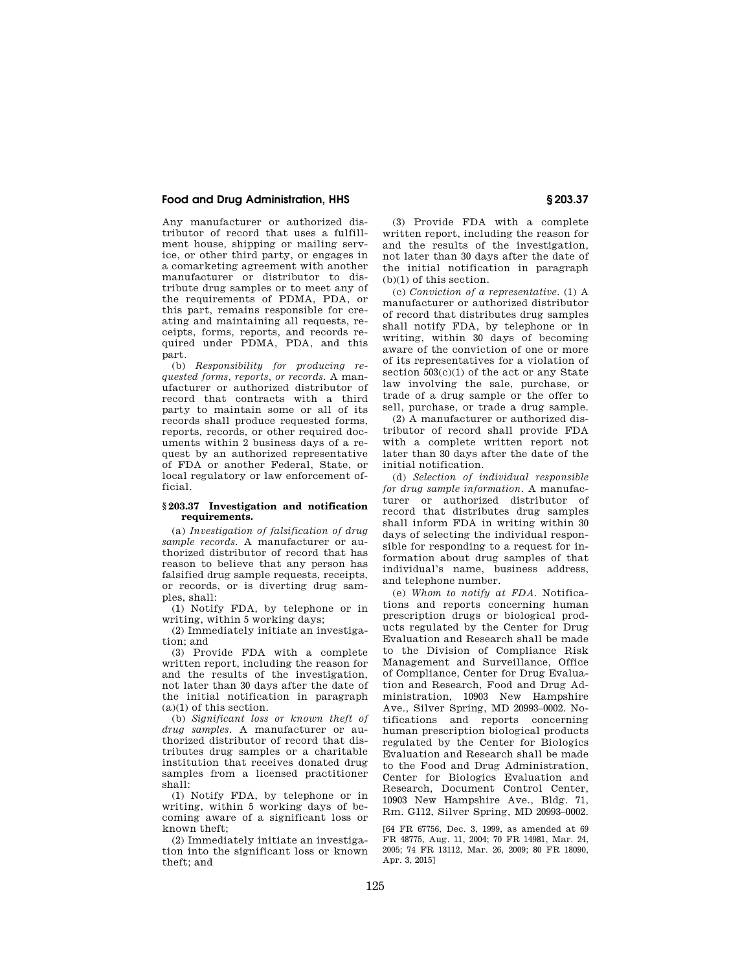Any manufacturer or authorized distributor of record that uses a fulfillment house, shipping or mailing service, or other third party, or engages in a comarketing agreement with another manufacturer or distributor to distribute drug samples or to meet any of the requirements of PDMA, PDA, or this part, remains responsible for creating and maintaining all requests, receipts, forms, reports, and records required under PDMA, PDA, and this part.

(b) *Responsibility for producing requested forms, reports, or records.* A manufacturer or authorized distributor of record that contracts with a third party to maintain some or all of its records shall produce requested forms, reports, records, or other required documents within 2 business days of a request by an authorized representative of FDA or another Federal, State, or local regulatory or law enforcement official.

#### **§ 203.37 Investigation and notification requirements.**

(a) *Investigation of falsification of drug sample records.* A manufacturer or authorized distributor of record that has reason to believe that any person has falsified drug sample requests, receipts, or records, or is diverting drug samples, shall:

(1) Notify FDA, by telephone or in writing, within 5 working days;

(2) Immediately initiate an investigation; and

(3) Provide FDA with a complete written report, including the reason for and the results of the investigation, not later than 30 days after the date of the initial notification in paragraph  $(a)(1)$  of this section.

(b) *Significant loss or known theft of drug samples.* A manufacturer or authorized distributor of record that distributes drug samples or a charitable institution that receives donated drug samples from a licensed practitioner  $shal\bar{l}$ 

(1) Notify FDA, by telephone or in writing, within 5 working days of becoming aware of a significant loss or known theft;

(2) Immediately initiate an investigation into the significant loss or known theft; and

(3) Provide FDA with a complete written report, including the reason for and the results of the investigation, not later than 30 days after the date of the initial notification in paragraph (b)(1) of this section.

(c) *Conviction of a representative.* (1) A manufacturer or authorized distributor of record that distributes drug samples shall notify FDA, by telephone or in writing, within 30 days of becoming aware of the conviction of one or more of its representatives for a violation of section  $503(c)(1)$  of the act or any State law involving the sale, purchase, or trade of a drug sample or the offer to sell, purchase, or trade a drug sample.

(2) A manufacturer or authorized distributor of record shall provide FDA with a complete written report not later than 30 days after the date of the initial notification.

(d) *Selection of individual responsible for drug sample information.* A manufacturer or authorized distributor of record that distributes drug samples shall inform FDA in writing within 30 days of selecting the individual responsible for responding to a request for information about drug samples of that individual's name, business address, and telephone number.

(e) *Whom to notify at FDA.* Notifications and reports concerning human prescription drugs or biological products regulated by the Center for Drug Evaluation and Research shall be made to the Division of Compliance Risk Management and Surveillance, Office of Compliance, Center for Drug Evaluation and Research, Food and Drug Administration, 10903 New Hampshire Ave., Silver Spring, MD 20993–0002. Notifications and reports concerning human prescription biological products regulated by the Center for Biologics Evaluation and Research shall be made to the Food and Drug Administration, Center for Biologics Evaluation and Research, Document Control Center, 10903 New Hampshire Ave., Bldg. 71, Rm. G112, Silver Spring, MD 20993–0002.

[64 FR 67756, Dec. 3, 1999, as amended at 69 FR 48775, Aug. 11, 2004; 70 FR 14981, Mar. 24, 2005; 74 FR 13112, Mar. 26, 2009; 80 FR 18090, Apr. 3, 2015]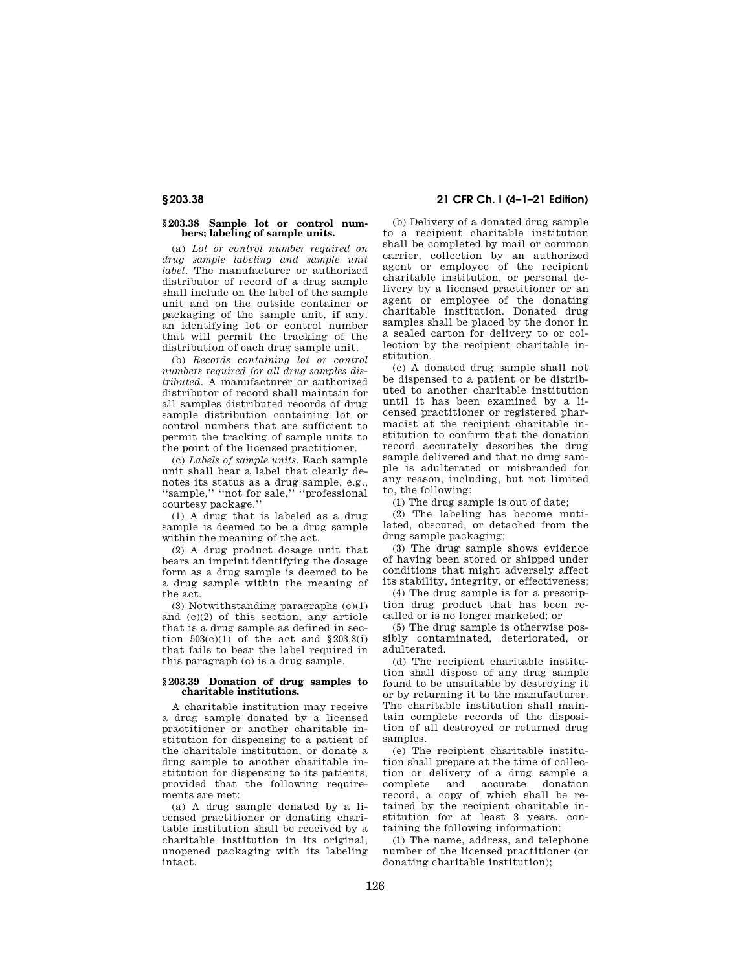## **§ 203.38 21 CFR Ch. I (4–1–21 Edition)**

#### **§ 203.38 Sample lot or control numbers; labeling of sample units.**

(a) *Lot or control number required on drug sample labeling and sample unit label.* The manufacturer or authorized distributor of record of a drug sample shall include on the label of the sample unit and on the outside container or packaging of the sample unit, if any, an identifying lot or control number that will permit the tracking of the distribution of each drug sample unit.

(b) *Records containing lot or control numbers required for all drug samples distributed.* A manufacturer or authorized distributor of record shall maintain for all samples distributed records of drug sample distribution containing lot or control numbers that are sufficient to permit the tracking of sample units to the point of the licensed practitioner.

(c) *Labels of sample units.* Each sample unit shall bear a label that clearly denotes its status as a drug sample, e.g., ''sample,'' ''not for sale,'' ''professional courtesy package.''

(1) A drug that is labeled as a drug sample is deemed to be a drug sample within the meaning of the act.

(2) A drug product dosage unit that bears an imprint identifying the dosage form as a drug sample is deemed to be a drug sample within the meaning of the act.

(3) Notwithstanding paragraphs (c)(1) and (c)(2) of this section, any article that is a drug sample as defined in section  $503(c)(1)$  of the act and  $$203.3(i)$ that fails to bear the label required in this paragraph (c) is a drug sample.

#### **§ 203.39 Donation of drug samples to charitable institutions.**

A charitable institution may receive a drug sample donated by a licensed practitioner or another charitable institution for dispensing to a patient of the charitable institution, or donate a drug sample to another charitable institution for dispensing to its patients, provided that the following requirements are met:

(a) A drug sample donated by a licensed practitioner or donating charitable institution shall be received by a charitable institution in its original, unopened packaging with its labeling intact.

(b) Delivery of a donated drug sample to a recipient charitable institution shall be completed by mail or common carrier, collection by an authorized agent or employee of the recipient charitable institution, or personal delivery by a licensed practitioner or an agent or employee of the donating charitable institution. Donated drug samples shall be placed by the donor in a sealed carton for delivery to or collection by the recipient charitable institution.

(c) A donated drug sample shall not be dispensed to a patient or be distributed to another charitable institution until it has been examined by a licensed practitioner or registered pharmacist at the recipient charitable institution to confirm that the donation record accurately describes the drug sample delivered and that no drug sample is adulterated or misbranded for any reason, including, but not limited to, the following:

(1) The drug sample is out of date;

(2) The labeling has become mutilated, obscured, or detached from the drug sample packaging;

(3) The drug sample shows evidence of having been stored or shipped under conditions that might adversely affect its stability, integrity, or effectiveness;

(4) The drug sample is for a prescription drug product that has been recalled or is no longer marketed; or

(5) The drug sample is otherwise possibly contaminated, deteriorated, or adulterated.

(d) The recipient charitable institution shall dispose of any drug sample found to be unsuitable by destroying it or by returning it to the manufacturer. The charitable institution shall maintain complete records of the disposition of all destroyed or returned drug samples.

(e) The recipient charitable institution shall prepare at the time of collection or delivery of a drug sample a complete and record, a copy of which shall be retained by the recipient charitable institution for at least 3 years, containing the following information:

(1) The name, address, and telephone number of the licensed practitioner (or donating charitable institution);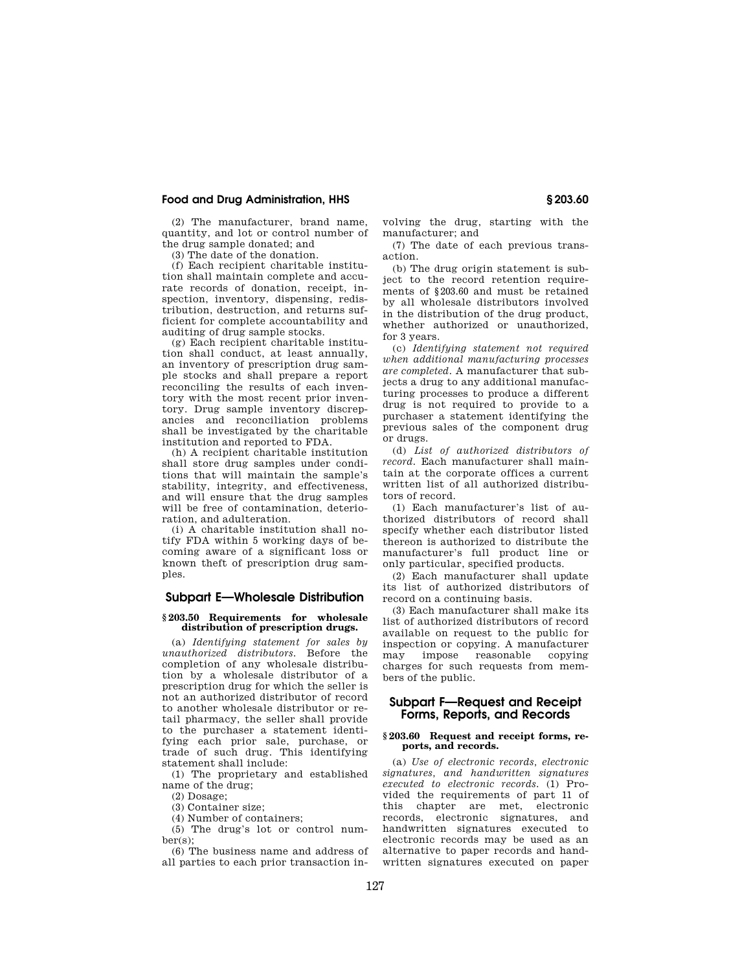(2) The manufacturer, brand name, quantity, and lot or control number of the drug sample donated; and

(3) The date of the donation.

(f) Each recipient charitable institution shall maintain complete and accurate records of donation, receipt, inspection, inventory, dispensing, redistribution, destruction, and returns sufficient for complete accountability and auditing of drug sample stocks.

(g) Each recipient charitable institution shall conduct, at least annually, an inventory of prescription drug sample stocks and shall prepare a report reconciling the results of each inventory with the most recent prior inventory. Drug sample inventory discrepancies and reconciliation problems shall be investigated by the charitable institution and reported to FDA.

(h) A recipient charitable institution shall store drug samples under conditions that will maintain the sample's stability, integrity, and effectiveness, and will ensure that the drug samples will be free of contamination, deterioration, and adulteration.

(i) A charitable institution shall notify FDA within 5 working days of becoming aware of a significant loss or known theft of prescription drug samples.

## **Subpart E—Wholesale Distribution**

#### **§ 203.50 Requirements for wholesale distribution of prescription drugs.**

(a) *Identifying statement for sales by unauthorized distributors.* Before the completion of any wholesale distribution by a wholesale distributor of a prescription drug for which the seller is not an authorized distributor of record to another wholesale distributor or retail pharmacy, the seller shall provide to the purchaser a statement identifying each prior sale, purchase, or trade of such drug. This identifying statement shall include:

(1) The proprietary and established name of the drug;

(2) Dosage;

(3) Container size;

(4) Number of containers;

(5) The drug's lot or control number(s);

(6) The business name and address of all parties to each prior transaction involving the drug, starting with the manufacturer; and

(7) The date of each previous transaction.

(b) The drug origin statement is subject to the record retention requirements of §203.60 and must be retained by all wholesale distributors involved in the distribution of the drug product, whether authorized or unauthorized, for 3 years.

(c) *Identifying statement not required when additional manufacturing processes are completed.* A manufacturer that subjects a drug to any additional manufacturing processes to produce a different drug is not required to provide to a purchaser a statement identifying the previous sales of the component drug or drugs.

(d) *List of authorized distributors of record.* Each manufacturer shall maintain at the corporate offices a current written list of all authorized distributors of record.

(1) Each manufacturer's list of authorized distributors of record shall specify whether each distributor listed thereon is authorized to distribute the manufacturer's full product line or only particular, specified products.

(2) Each manufacturer shall update its list of authorized distributors of record on a continuing basis.

(3) Each manufacturer shall make its list of authorized distributors of record available on request to the public for inspection or copying. A manufacturer<br>may impose reasonable copying reasonable copying charges for such requests from members of the public.

## **Subpart F—Request and Receipt Forms, Reports, and Records**

### **§ 203.60 Request and receipt forms, reports, and records.**

(a) *Use of electronic records, electronic signatures, and handwritten signatures executed to electronic records.* (1) Provided the requirements of part 11 of this chapter are met, electronic records, electronic signatures, and handwritten signatures executed to electronic records may be used as an alternative to paper records and handwritten signatures executed on paper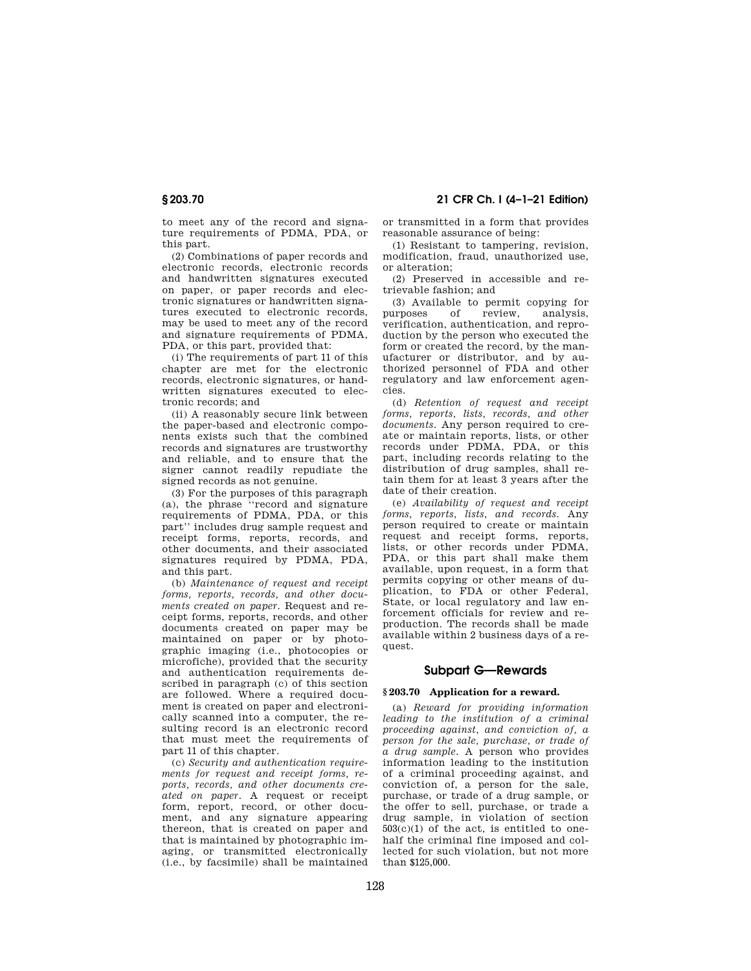to meet any of the record and signature requirements of PDMA, PDA, or this part.

(2) Combinations of paper records and electronic records, electronic records and handwritten signatures executed on paper, or paper records and electronic signatures or handwritten signatures executed to electronic records, may be used to meet any of the record and signature requirements of PDMA, PDA, or this part, provided that:

(i) The requirements of part 11 of this chapter are met for the electronic records, electronic signatures, or handwritten signatures executed to electronic records; and

(ii) A reasonably secure link between the paper-based and electronic components exists such that the combined records and signatures are trustworthy and reliable, and to ensure that the signer cannot readily repudiate the signed records as not genuine.

(3) For the purposes of this paragraph (a), the phrase ''record and signature requirements of PDMA, PDA, or this part'' includes drug sample request and receipt forms, reports, records, and other documents, and their associated signatures required by PDMA, PDA, and this part.

(b) *Maintenance of request and receipt forms, reports, records, and other documents created on paper.* Request and receipt forms, reports, records, and other documents created on paper may be maintained on paper or by photographic imaging (i.e., photocopies or microfiche), provided that the security and authentication requirements described in paragraph (c) of this section are followed. Where a required document is created on paper and electronically scanned into a computer, the resulting record is an electronic record that must meet the requirements of part 11 of this chapter.

(c) *Security and authentication requirements for request and receipt forms, reports, records, and other documents created on paper.* A request or receipt form, report, record, or other document, and any signature appearing thereon, that is created on paper and that is maintained by photographic imaging, or transmitted electronically (i.e., by facsimile) shall be maintained

**§ 203.70 21 CFR Ch. I (4–1–21 Edition)** 

or transmitted in a form that provides reasonable assurance of being:

(1) Resistant to tampering, revision, modification, fraud, unauthorized use, or alteration;

(2) Preserved in accessible and retrievable fashion; and

(3) Available to permit copying for purposes of review, analysis, verification, authentication, and reproduction by the person who executed the form or created the record, by the manufacturer or distributor, and by authorized personnel of FDA and other regulatory and law enforcement agencies.

(d) *Retention of request and receipt forms, reports, lists, records, and other documents.* Any person required to create or maintain reports, lists, or other records under PDMA, PDA, or this part, including records relating to the distribution of drug samples, shall retain them for at least 3 years after the date of their creation.

(e) *Availability of request and receipt forms, reports, lists, and records.* Any person required to create or maintain request and receipt forms, reports, lists, or other records under PDMA, PDA, or this part shall make them available, upon request, in a form that permits copying or other means of duplication, to FDA or other Federal, State, or local regulatory and law enforcement officials for review and reproduction. The records shall be made available within 2 business days of a request.

## **Subpart G—Rewards**

## **§ 203.70 Application for a reward.**

(a) *Reward for providing information leading to the institution of a criminal proceeding against, and conviction of, a person for the sale, purchase, or trade of a drug sample.* A person who provides information leading to the institution of a criminal proceeding against, and conviction of, a person for the sale, purchase, or trade of a drug sample, or the offer to sell, purchase, or trade a drug sample, in violation of section  $503(c)(1)$  of the act, is entitled to onehalf the criminal fine imposed and collected for such violation, but not more than \$125,000.